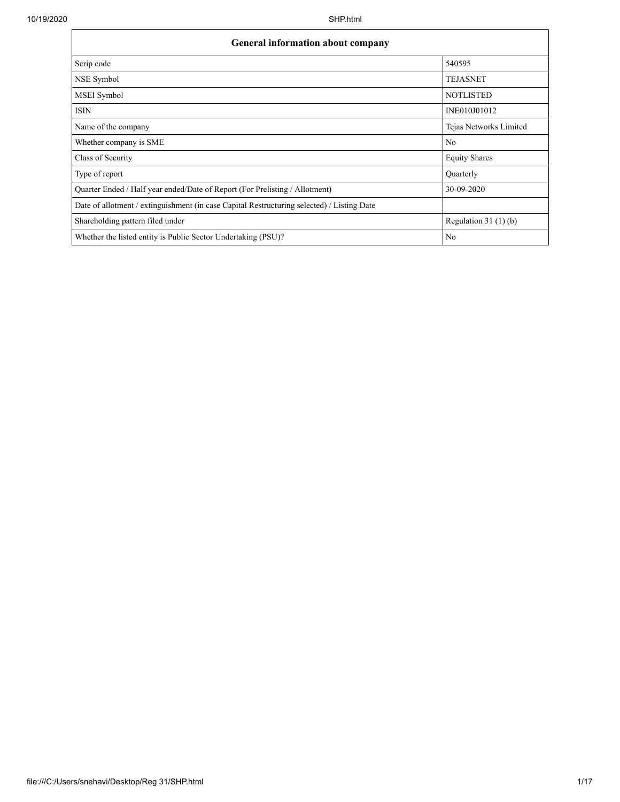Г

| <b>General information about company</b>                                                   |                        |  |  |  |  |  |  |  |
|--------------------------------------------------------------------------------------------|------------------------|--|--|--|--|--|--|--|
| Scrip code                                                                                 | 540595                 |  |  |  |  |  |  |  |
| NSE Symbol                                                                                 | <b>TEJASNET</b>        |  |  |  |  |  |  |  |
| MSEI Symbol                                                                                | <b>NOTLISTED</b>       |  |  |  |  |  |  |  |
| <b>ISIN</b>                                                                                | INE010J01012           |  |  |  |  |  |  |  |
| Name of the company                                                                        | Tejas Networks Limited |  |  |  |  |  |  |  |
| Whether company is SME                                                                     | N <sub>o</sub>         |  |  |  |  |  |  |  |
| Class of Security                                                                          | <b>Equity Shares</b>   |  |  |  |  |  |  |  |
| Type of report                                                                             | Quarterly              |  |  |  |  |  |  |  |
| Ouarter Ended / Half year ended/Date of Report (For Prelisting / Allotment)                | 30-09-2020             |  |  |  |  |  |  |  |
| Date of allotment / extinguishment (in case Capital Restructuring selected) / Listing Date |                        |  |  |  |  |  |  |  |
| Shareholding pattern filed under                                                           | Regulation $31(1)(b)$  |  |  |  |  |  |  |  |
| Whether the listed entity is Public Sector Undertaking (PSU)?                              | N <sub>o</sub>         |  |  |  |  |  |  |  |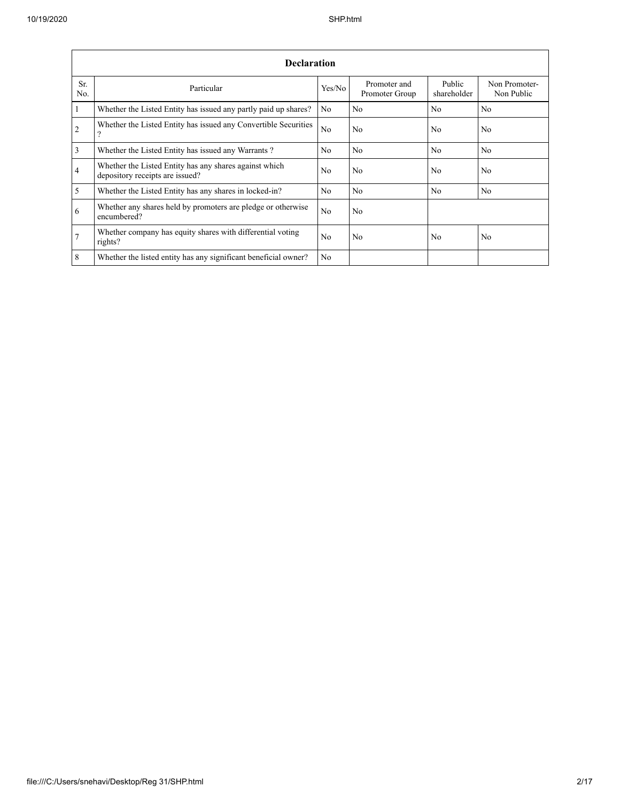|                 | <b>Declaration</b>                                                                        |                |                                |                       |                             |  |  |  |  |  |  |  |  |
|-----------------|-------------------------------------------------------------------------------------------|----------------|--------------------------------|-----------------------|-----------------------------|--|--|--|--|--|--|--|--|
| Sr.<br>No.      | Particular                                                                                | Yes/No         | Promoter and<br>Promoter Group | Public<br>shareholder | Non Promoter-<br>Non Public |  |  |  |  |  |  |  |  |
| $\mathbf{1}$    | Whether the Listed Entity has issued any partly paid up shares?                           | No             | No.                            | No                    | N <sub>o</sub>              |  |  |  |  |  |  |  |  |
| 2               | Whether the Listed Entity has issued any Convertible Securities<br>9                      | No             | No                             | No                    | No                          |  |  |  |  |  |  |  |  |
| $\overline{3}$  | Whether the Listed Entity has issued any Warrants?                                        | N <sub>0</sub> | No                             | No                    | N <sub>o</sub>              |  |  |  |  |  |  |  |  |
| $\overline{4}$  | Whether the Listed Entity has any shares against which<br>depository receipts are issued? | N <sub>0</sub> | No                             | No                    | No                          |  |  |  |  |  |  |  |  |
| 5               | Whether the Listed Entity has any shares in locked-in?                                    | No             | No.                            | N <sub>o</sub>        | N <sub>o</sub>              |  |  |  |  |  |  |  |  |
| 6               | Whether any shares held by promoters are pledge or otherwise<br>encumbered?               | No             | No                             |                       |                             |  |  |  |  |  |  |  |  |
| $7\phantom{.0}$ | Whether company has equity shares with differential voting<br>rights?                     | N <sub>0</sub> | No.                            | No                    | No                          |  |  |  |  |  |  |  |  |
| 8               | Whether the listed entity has any significant beneficial owner?                           | No             |                                |                       |                             |  |  |  |  |  |  |  |  |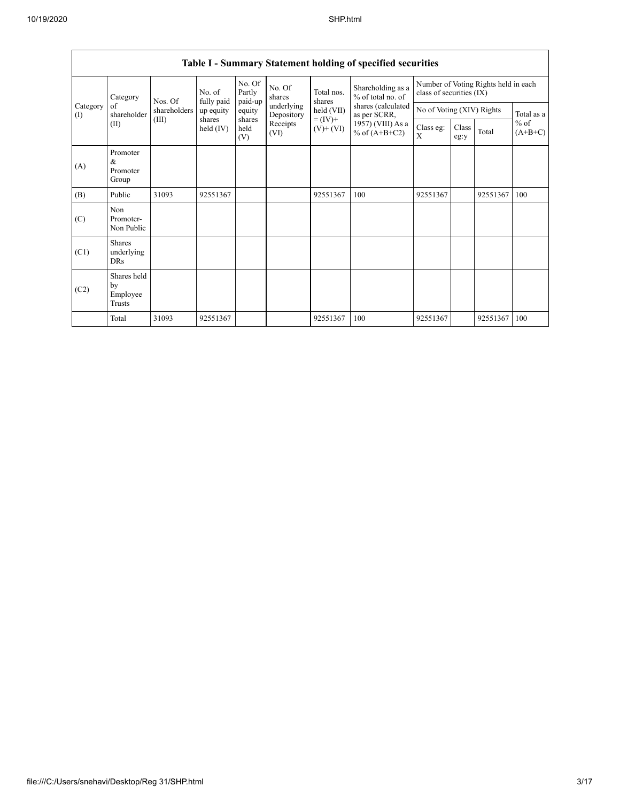|                 | $\mathbf{C}$ . $\mathbf{C}$ and $\mathbf{C}$ |                                  |                       |                             |                          |                                            |                                                                                                                      |                                                                  |               |          |                     |  |  |
|-----------------|----------------------------------------------|----------------------------------|-----------------------|-----------------------------|--------------------------|--------------------------------------------|----------------------------------------------------------------------------------------------------------------------|------------------------------------------------------------------|---------------|----------|---------------------|--|--|
|                 | Category<br>of<br>shareholder<br>(II)        | Nos. Of<br>shareholders<br>(III) | No. of<br>fully paid  | No. Of<br>Partly<br>paid-up | No. Of<br>shares         | Total nos.<br>shares                       | Shareholding as a<br>% of total no. of<br>shares (calculated<br>as per SCRR,<br>1957) (VIII) As a<br>% of $(A+B+C2)$ | Number of Voting Rights held in each<br>class of securities (IX) |               |          |                     |  |  |
| Category<br>(I) |                                              |                                  | up equity             | equity                      | underlying<br>Depository | held (VII)<br>$= (IV) +$<br>$(V)$ + $(VI)$ |                                                                                                                      | No of Voting (XIV) Rights                                        |               |          | Total as a          |  |  |
|                 |                                              |                                  | shares<br>held $(IV)$ | shares<br>held<br>(V)       | Receipts<br>(VI)         |                                            |                                                                                                                      | Class eg:<br>X                                                   | Class<br>eg:y | Total    | $%$ of<br>$(A+B+C)$ |  |  |
| (A)             | Promoter<br>&<br>Promoter<br>Group           |                                  |                       |                             |                          |                                            |                                                                                                                      |                                                                  |               |          |                     |  |  |
| (B)             | Public                                       | 31093                            | 92551367              |                             |                          | 92551367                                   | 100                                                                                                                  | 92551367                                                         |               | 92551367 | 100                 |  |  |
| (C)             | Non<br>Promoter-<br>Non Public               |                                  |                       |                             |                          |                                            |                                                                                                                      |                                                                  |               |          |                     |  |  |
| (C1)            | <b>Shares</b><br>underlying<br>DRs           |                                  |                       |                             |                          |                                            |                                                                                                                      |                                                                  |               |          |                     |  |  |
| (C2)            | Shares held<br>by<br>Employee<br>Trusts      |                                  |                       |                             |                          |                                            |                                                                                                                      |                                                                  |               |          |                     |  |  |
|                 | Total                                        | 31093                            | 92551367              |                             |                          | 92551367                                   | 100                                                                                                                  | 92551367                                                         |               | 92551367 | 100                 |  |  |

## **Table I - Summary Statement holding of specified securities**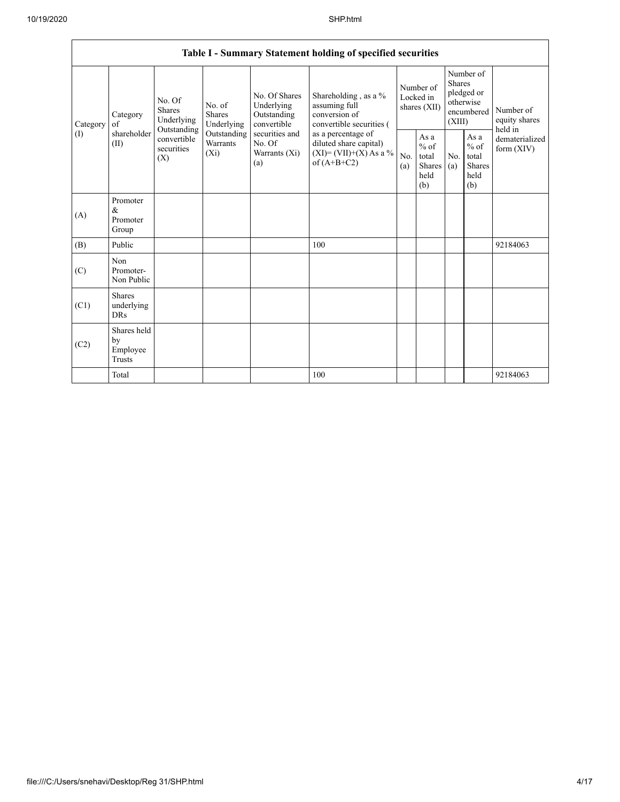|     | Table I - Summary Statement holding of specified securities |                                                 |                                       |                                                  |                                                                                          |                                                                                    |                                                  |            |                                                                               |                                |                                       |  |  |
|-----|-------------------------------------------------------------|-------------------------------------------------|---------------------------------------|--------------------------------------------------|------------------------------------------------------------------------------------------|------------------------------------------------------------------------------------|--------------------------------------------------|------------|-------------------------------------------------------------------------------|--------------------------------|---------------------------------------|--|--|
|     | Category                                                    | Category<br>of                                  | No. Of<br><b>Shares</b><br>Underlying | No. of<br><b>Shares</b><br>Underlying            | No. Of Shares<br>Underlying<br>Outstanding<br>convertible                                | Shareholding, as a %<br>assuming full<br>conversion of<br>convertible securities ( | Number of<br>Locked in<br>shares (XII)           |            | Number of<br><b>Shares</b><br>pledged or<br>otherwise<br>encumbered<br>(XIII) |                                | Number of<br>equity shares<br>held in |  |  |
| (1) | shareholder<br>(II)                                         | Outstanding<br>convertible<br>securities<br>(X) | Outstanding<br>Warrants<br>$(X_i)$    | securities and<br>No. Of<br>Warrants (Xi)<br>(a) | as a percentage of<br>diluted share capital)<br>$(XI)=(VII)+(X) As a %$<br>of $(A+B+C2)$ | No.<br>(a)                                                                         | As a<br>$%$ of<br>total<br>Shares<br>held<br>(b) | No.<br>(a) | As a<br>$%$ of<br>total<br><b>Shares</b><br>held<br>(b)                       | dematerialized<br>form $(XIV)$ |                                       |  |  |
|     | (A)                                                         | Promoter<br>&<br>Promoter<br>Group              |                                       |                                                  |                                                                                          |                                                                                    |                                                  |            |                                                                               |                                |                                       |  |  |
|     | (B)                                                         | Public                                          |                                       |                                                  |                                                                                          | 100                                                                                |                                                  |            |                                                                               |                                | 92184063                              |  |  |
|     | (C)                                                         | Non<br>Promoter-<br>Non Public                  |                                       |                                                  |                                                                                          |                                                                                    |                                                  |            |                                                                               |                                |                                       |  |  |
|     | (C1)                                                        | <b>Shares</b><br>underlying<br><b>DRs</b>       |                                       |                                                  |                                                                                          |                                                                                    |                                                  |            |                                                                               |                                |                                       |  |  |
|     | (C2)                                                        | Shares held<br>by<br>Employee<br>Trusts         |                                       |                                                  |                                                                                          |                                                                                    |                                                  |            |                                                                               |                                |                                       |  |  |
|     |                                                             | Total                                           |                                       |                                                  |                                                                                          | 100                                                                                |                                                  |            |                                                                               |                                | 92184063                              |  |  |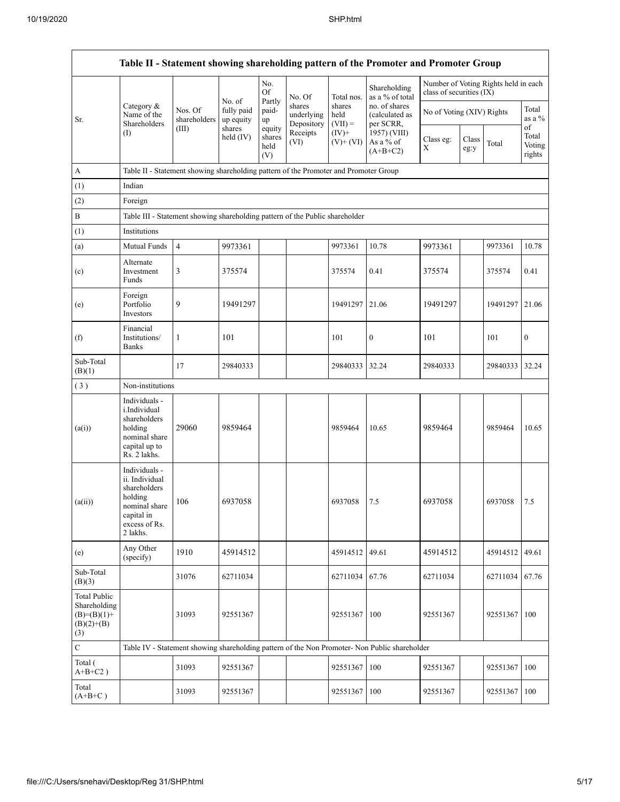|                                                                             |                                                                                                                        |                         |                         |                                 |                                    |                             | Table II - Statement showing shareholding pattern of the Promoter and Promoter Group          |                                                                  |               |              |                                 |
|-----------------------------------------------------------------------------|------------------------------------------------------------------------------------------------------------------------|-------------------------|-------------------------|---------------------------------|------------------------------------|-----------------------------|-----------------------------------------------------------------------------------------------|------------------------------------------------------------------|---------------|--------------|---------------------------------|
|                                                                             |                                                                                                                        |                         | No. of                  | No.<br>Of<br>Partly             | No. Of                             | Total nos.                  | Shareholding<br>as a % of total                                                               | Number of Voting Rights held in each<br>class of securities (IX) |               |              |                                 |
| Sr.                                                                         | Category &<br>Name of the<br>Shareholders                                                                              | Nos. Of<br>shareholders | fully paid<br>up equity | paid-<br>up                     | shares<br>underlying<br>Depository | shares<br>held<br>$(VII) =$ | no. of shares<br>(calculated as<br>per SCRR,                                                  | No of Voting (XIV) Rights                                        |               |              | Total<br>as a %                 |
|                                                                             | $($ I                                                                                                                  | (III)                   | shares<br>held $(IV)$   | equity<br>shares<br>held<br>(V) | Receipts<br>(VI)                   | $(IV)+$<br>$(V)$ + $(VI)$   | 1957) (VIII)<br>As a % of<br>$(A+B+C2)$                                                       | Class eg:<br>Χ                                                   | Class<br>eg:y | Total        | of<br>Total<br>Voting<br>rights |
| $\mathbf A$                                                                 | Table II - Statement showing shareholding pattern of the Promoter and Promoter Group                                   |                         |                         |                                 |                                    |                             |                                                                                               |                                                                  |               |              |                                 |
| (1)                                                                         | Indian                                                                                                                 |                         |                         |                                 |                                    |                             |                                                                                               |                                                                  |               |              |                                 |
| (2)                                                                         | Foreign                                                                                                                |                         |                         |                                 |                                    |                             |                                                                                               |                                                                  |               |              |                                 |
| B                                                                           | Table III - Statement showing shareholding pattern of the Public shareholder                                           |                         |                         |                                 |                                    |                             |                                                                                               |                                                                  |               |              |                                 |
| (1)                                                                         | Institutions                                                                                                           |                         |                         |                                 |                                    |                             |                                                                                               |                                                                  |               |              |                                 |
| (a)                                                                         | Mutual Funds                                                                                                           | $\overline{4}$          | 9973361                 |                                 |                                    | 9973361                     | 10.78                                                                                         | 9973361                                                          |               | 9973361      | 10.78                           |
| (c)                                                                         | Alternate<br>Investment<br>Funds                                                                                       | 3                       | 375574                  |                                 |                                    | 375574                      | 0.41                                                                                          | 375574                                                           |               | 375574       | 0.41                            |
| (e)                                                                         | Foreign<br>Portfolio<br>Investors                                                                                      | 9                       | 19491297                |                                 |                                    | 19491297                    | 21.06                                                                                         | 19491297                                                         |               | 19491297     | 21.06                           |
| (f)                                                                         | Financial<br>Institutions/<br><b>Banks</b>                                                                             | 1                       | 101                     |                                 |                                    | 101                         | $\boldsymbol{0}$                                                                              | 101                                                              |               | 101          | $\boldsymbol{0}$                |
| Sub-Total<br>(B)(1)                                                         |                                                                                                                        | 17                      | 29840333                |                                 |                                    | 29840333                    | 32.24                                                                                         | 29840333                                                         |               | 29840333     | 32.24                           |
| (3)                                                                         | Non-institutions                                                                                                       |                         |                         |                                 |                                    |                             |                                                                                               |                                                                  |               |              |                                 |
| (a(i))                                                                      | Individuals -<br>i.Individual<br>shareholders<br>holding<br>nominal share<br>capital up to<br>Rs. 2 lakhs.             | 29060                   | 9859464                 |                                 |                                    | 9859464                     | 10.65                                                                                         | 9859464                                                          |               | 9859464      | 10.65                           |
| (a(ii))                                                                     | Individuals -<br>ii. Individual<br>shareholders<br>holding<br>nominal share<br>capital in<br>excess of Rs.<br>2 lakhs. | 106                     | 6937058                 |                                 |                                    | 6937058                     | 7.5                                                                                           | 6937058                                                          |               | 6937058      | 7.5                             |
| (e)                                                                         | Any Other<br>(specify)                                                                                                 | 1910                    | 45914512                |                                 |                                    | 45914512                    | 49.61                                                                                         | 45914512                                                         |               | 45914512     | 49.61                           |
| Sub-Total<br>(B)(3)                                                         |                                                                                                                        | 31076                   | 62711034                |                                 |                                    | 62711034                    | 67.76                                                                                         | 62711034                                                         |               | 62711034     | 67.76                           |
| <b>Total Public</b><br>Shareholding<br>$(B)=(B)(1)+$<br>$(B)(2)+(B)$<br>(3) |                                                                                                                        | 31093                   | 92551367                |                                 |                                    | 92551367                    | 100                                                                                           | 92551367                                                         |               | 92551367 100 |                                 |
| $\overline{C}$                                                              |                                                                                                                        |                         |                         |                                 |                                    |                             | Table IV - Statement showing shareholding pattern of the Non Promoter- Non Public shareholder |                                                                  |               |              |                                 |
| Total (<br>$A+B+C2$ )                                                       |                                                                                                                        | 31093                   | 92551367                |                                 |                                    | 92551367                    | 100                                                                                           | 92551367                                                         |               | 92551367     | 100                             |
| Total<br>$(A+B+C)$                                                          |                                                                                                                        | 31093                   | 92551367                |                                 |                                    | 92551367                    | 100                                                                                           | 92551367                                                         |               | 92551367 100 |                                 |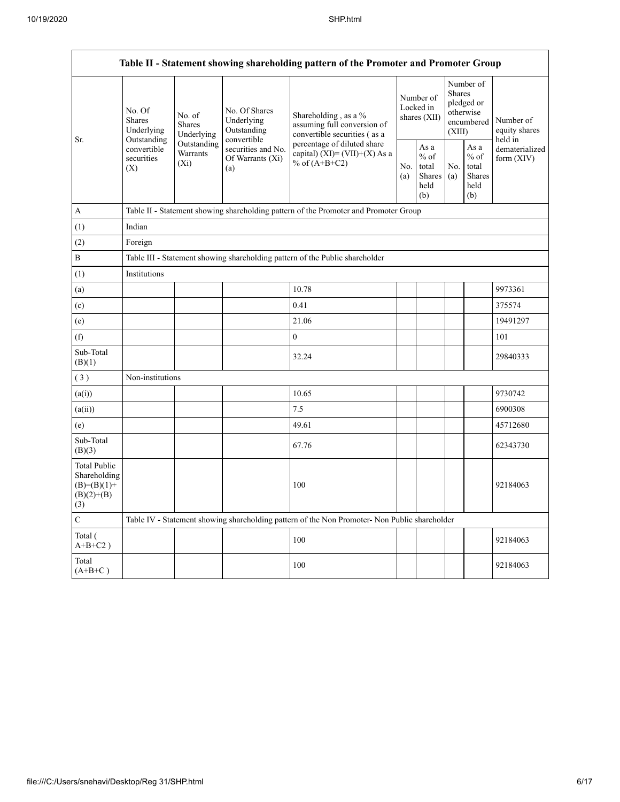| Table II - Statement showing shareholding pattern of the Promoter and Promoter Group |                                                                                                                         |                                                                              |                                                           |                                                                                               |                                        |                                                  |                                                                               |                                                  |                                       |  |  |  |
|--------------------------------------------------------------------------------------|-------------------------------------------------------------------------------------------------------------------------|------------------------------------------------------------------------------|-----------------------------------------------------------|-----------------------------------------------------------------------------------------------|----------------------------------------|--------------------------------------------------|-------------------------------------------------------------------------------|--------------------------------------------------|---------------------------------------|--|--|--|
|                                                                                      | No. Of<br>No. of<br>Shares<br><b>Shares</b><br>Underlying<br>Outstanding<br>convertible<br>securities<br>$(X_i)$<br>(X) | Underlying                                                                   | No. Of Shares<br>Underlying<br>Outstanding<br>convertible | Shareholding, as a $%$<br>assuming full conversion of<br>convertible securities (as a         | Number of<br>Locked in<br>shares (XII) |                                                  | Number of<br><b>Shares</b><br>pledged or<br>otherwise<br>encumbered<br>(XIII) |                                                  | Number of<br>equity shares<br>held in |  |  |  |
| Sr.                                                                                  |                                                                                                                         | Outstanding<br>Warrants                                                      | securities and No.<br>Of Warrants (Xi)<br>(a)             | percentage of diluted share<br>capital) (XI)= (VII)+(X) As a<br>% of $(A+B+C2)$<br>No.<br>(a) |                                        | As a<br>$%$ of<br>total<br>Shares<br>held<br>(b) | No.<br>(a)                                                                    | As a<br>$%$ of<br>total<br>Shares<br>held<br>(b) | dematerialized<br>form (XIV)          |  |  |  |
| A                                                                                    |                                                                                                                         |                                                                              |                                                           | Table II - Statement showing shareholding pattern of the Promoter and Promoter Group          |                                        |                                                  |                                                                               |                                                  |                                       |  |  |  |
| (1)                                                                                  | Indian                                                                                                                  |                                                                              |                                                           |                                                                                               |                                        |                                                  |                                                                               |                                                  |                                       |  |  |  |
| (2)                                                                                  | Foreign                                                                                                                 |                                                                              |                                                           |                                                                                               |                                        |                                                  |                                                                               |                                                  |                                       |  |  |  |
| B                                                                                    |                                                                                                                         | Table III - Statement showing shareholding pattern of the Public shareholder |                                                           |                                                                                               |                                        |                                                  |                                                                               |                                                  |                                       |  |  |  |
| (1)                                                                                  | Institutions                                                                                                            |                                                                              |                                                           |                                                                                               |                                        |                                                  |                                                                               |                                                  |                                       |  |  |  |
| (a)                                                                                  |                                                                                                                         |                                                                              |                                                           | 10.78                                                                                         |                                        |                                                  |                                                                               |                                                  | 9973361                               |  |  |  |
| (c)                                                                                  |                                                                                                                         |                                                                              |                                                           | 0.41                                                                                          |                                        |                                                  |                                                                               |                                                  | 375574                                |  |  |  |
| (e)                                                                                  |                                                                                                                         |                                                                              |                                                           | 21.06                                                                                         |                                        |                                                  |                                                                               |                                                  | 19491297                              |  |  |  |
| (f)                                                                                  |                                                                                                                         |                                                                              |                                                           | $\boldsymbol{0}$                                                                              |                                        |                                                  |                                                                               |                                                  | 101                                   |  |  |  |
| Sub-Total<br>(B)(1)                                                                  |                                                                                                                         |                                                                              |                                                           | 32.24                                                                                         |                                        |                                                  |                                                                               |                                                  | 29840333                              |  |  |  |
| (3)                                                                                  | Non-institutions                                                                                                        |                                                                              |                                                           |                                                                                               |                                        |                                                  |                                                                               |                                                  |                                       |  |  |  |
| (a(i))                                                                               |                                                                                                                         |                                                                              |                                                           | 10.65                                                                                         |                                        |                                                  |                                                                               |                                                  | 9730742                               |  |  |  |
| (a(ii))                                                                              |                                                                                                                         |                                                                              |                                                           | 7.5                                                                                           |                                        |                                                  |                                                                               |                                                  | 6900308                               |  |  |  |
| (e)                                                                                  |                                                                                                                         |                                                                              |                                                           | 49.61                                                                                         |                                        |                                                  |                                                                               |                                                  | 45712680                              |  |  |  |
| Sub-Total<br>(B)(3)                                                                  |                                                                                                                         |                                                                              |                                                           | 67.76                                                                                         |                                        |                                                  |                                                                               |                                                  | 62343730                              |  |  |  |
| <b>Total Public</b><br>Shareholding<br>$(B)=(B)(1)+$<br>$(B)(2)+(B)$<br>(3)          |                                                                                                                         |                                                                              |                                                           | 100                                                                                           |                                        |                                                  |                                                                               |                                                  | 92184063                              |  |  |  |
| C                                                                                    |                                                                                                                         |                                                                              |                                                           | Table IV - Statement showing shareholding pattern of the Non Promoter- Non Public shareholder |                                        |                                                  |                                                                               |                                                  |                                       |  |  |  |
| Total (<br>$A+B+C2$ )                                                                |                                                                                                                         |                                                                              |                                                           | 100                                                                                           |                                        |                                                  |                                                                               |                                                  | 92184063                              |  |  |  |
| Total<br>$(A+B+C)$                                                                   |                                                                                                                         |                                                                              |                                                           | 100                                                                                           |                                        |                                                  |                                                                               |                                                  | 92184063                              |  |  |  |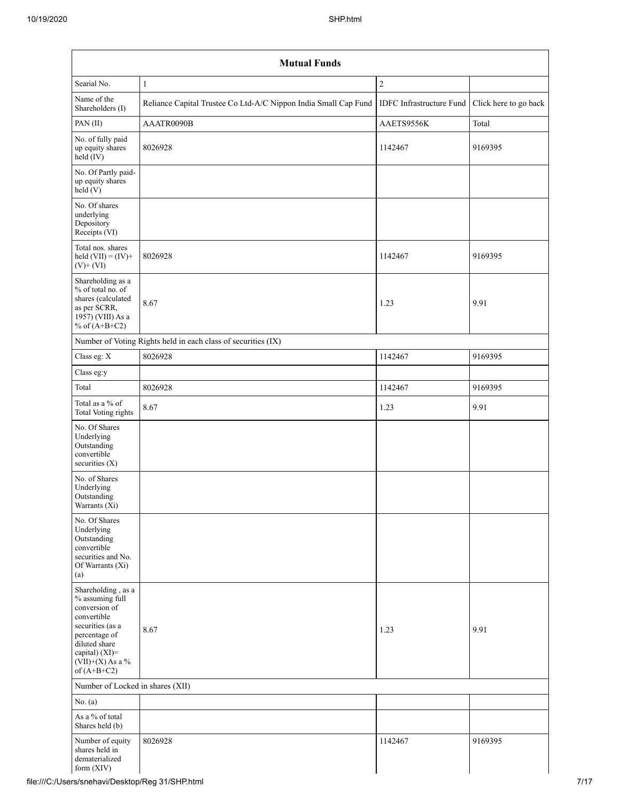| Searial No.                                                                                                                                                                          | $\mathbf{1}$                                                    | $\sqrt{2}$                                     |         |
|--------------------------------------------------------------------------------------------------------------------------------------------------------------------------------------|-----------------------------------------------------------------|------------------------------------------------|---------|
| Name of the<br>Shareholders (I)                                                                                                                                                      | Reliance Capital Trustee Co Ltd-A/C Nippon India Small Cap Fund | IDFC Infrastructure Fund Click here to go back |         |
| PAN(II)                                                                                                                                                                              | AAATR0090B                                                      | AAETS9556K                                     | Total   |
| No. of fully paid<br>up equity shares<br>$held$ (IV)                                                                                                                                 | 8026928                                                         | 1142467                                        | 9169395 |
| No. Of Partly paid-<br>up equity shares<br>$\text{held} (V)$                                                                                                                         |                                                                 |                                                |         |
| No. Of shares<br>underlying<br>Depository<br>Receipts (VI)                                                                                                                           |                                                                 |                                                |         |
| Total nos. shares<br>held $(VII) = (IV) +$<br>$(V)$ + $(VI)$                                                                                                                         | 8026928                                                         | 1142467                                        | 9169395 |
| Shareholding as a<br>% of total no. of<br>shares (calculated<br>as per SCRR,<br>1957) (VIII) As a<br>% of $(A+B+C2)$                                                                 | 8.67                                                            | 1.23                                           | 9.91    |
|                                                                                                                                                                                      | Number of Voting Rights held in each class of securities (IX)   |                                                |         |
| Class eg: X                                                                                                                                                                          | 8026928                                                         | 1142467                                        | 9169395 |
| Class eg:y                                                                                                                                                                           |                                                                 |                                                |         |
| Total                                                                                                                                                                                | 8026928                                                         | 1142467                                        | 9169395 |
| Total as a $\%$ of<br><b>Total Voting rights</b>                                                                                                                                     | 8.67                                                            | 1.23                                           | 9.91    |
| No. Of Shares<br>Underlying<br>Outstanding<br>convertible<br>securities (X)                                                                                                          |                                                                 |                                                |         |
| No. of Shares<br>Underlying<br>Outstanding<br>Warrants $(Xi)$                                                                                                                        |                                                                 |                                                |         |
| No. Of Shares<br>Underlying<br>Outstanding<br>convertible<br>securities and No.<br>Of Warrants (Xi)<br>(a)                                                                           |                                                                 |                                                |         |
| Shareholding, as a<br>% assuming full<br>conversion of<br>convertible<br>securities (as a<br>percentage of<br>diluted share<br>capital) (XI)=<br>$(VII)+(X)$ As a %<br>of $(A+B+C2)$ | 8.67                                                            | 1.23                                           | 9.91    |
| Number of Locked in shares (XII)                                                                                                                                                     |                                                                 |                                                |         |
| No. (a)                                                                                                                                                                              |                                                                 |                                                |         |
| As a % of total<br>Shares held (b)                                                                                                                                                   |                                                                 |                                                |         |
| Number of equity<br>shares held in<br>dematerialized<br>form (XIV)                                                                                                                   | 8026928                                                         | 1142467                                        | 9169395 |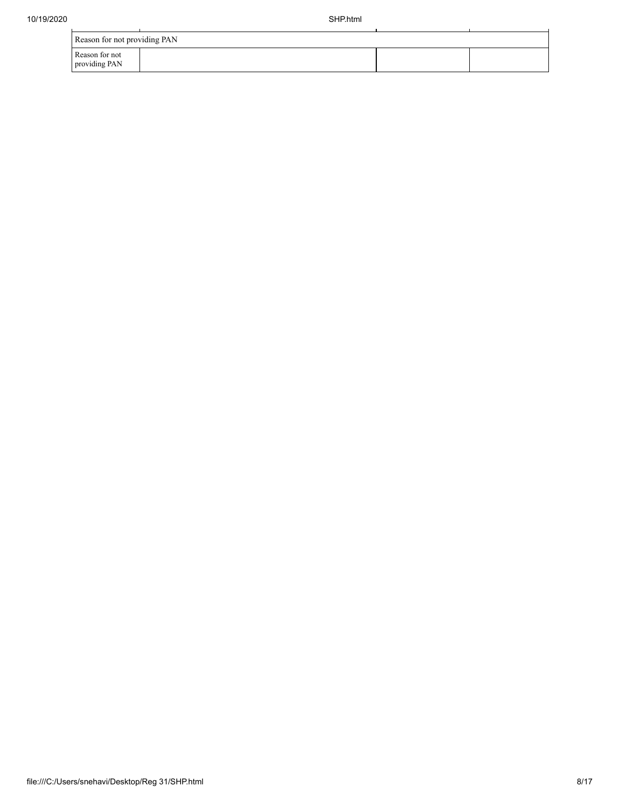| Reason for not providing PAN    |  |  |  |  |  |  |  |  |  |
|---------------------------------|--|--|--|--|--|--|--|--|--|
| Reason for not<br>providing PAN |  |  |  |  |  |  |  |  |  |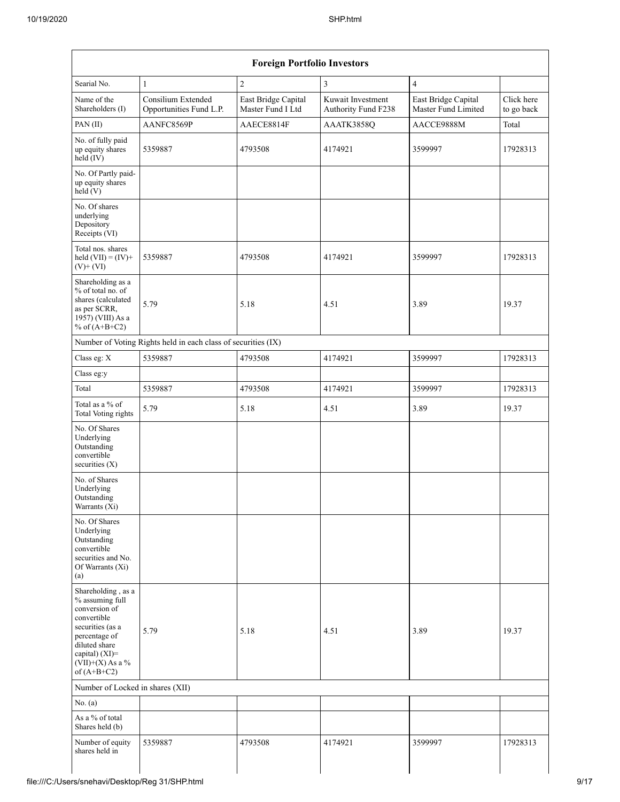| Searial No.                                                                                                                                                                          | $\mathbf{1}$                                                  | $\overline{2}$                           | $\mathfrak{Z}$                           | $\overline{4}$                             |                          |
|--------------------------------------------------------------------------------------------------------------------------------------------------------------------------------------|---------------------------------------------------------------|------------------------------------------|------------------------------------------|--------------------------------------------|--------------------------|
| Name of the<br>Shareholders (I)                                                                                                                                                      | Consilium Extended<br>Opportunities Fund L.P.                 | East Bridge Capital<br>Master Fund I Ltd | Kuwait Investment<br>Authority Fund F238 | East Bridge Capital<br>Master Fund Limited | Click here<br>to go back |
| PAN(II)                                                                                                                                                                              | AANFC8569P                                                    | AAECE8814F                               | AAATK3858Q                               | AACCE9888M                                 | Total                    |
| No. of fully paid<br>up equity shares<br>held (IV)                                                                                                                                   | 5359887                                                       | 4793508                                  | 4174921                                  | 3599997                                    | 17928313                 |
| No. Of Partly paid-<br>up equity shares<br>held(V)                                                                                                                                   |                                                               |                                          |                                          |                                            |                          |
| No. Of shares<br>underlying<br>Depository<br>Receipts (VI)                                                                                                                           |                                                               |                                          |                                          |                                            |                          |
| Total nos. shares<br>held $(VII) = (IV) +$<br>$(V)$ + $(VI)$                                                                                                                         | 5359887                                                       | 4793508                                  | 4174921                                  | 3599997                                    | 17928313                 |
| Shareholding as a<br>% of total no. of<br>shares (calculated<br>as per SCRR,<br>1957) (VIII) As a<br>% of $(A+B+C2)$                                                                 | 5.79                                                          | 5.18                                     | 4.51                                     | 3.89                                       | 19.37                    |
|                                                                                                                                                                                      | Number of Voting Rights held in each class of securities (IX) |                                          |                                          |                                            |                          |
| Class eg: X                                                                                                                                                                          | 5359887                                                       | 4793508                                  | 4174921                                  | 3599997                                    | 17928313                 |
| Class eg:y                                                                                                                                                                           |                                                               |                                          |                                          |                                            |                          |
| Total                                                                                                                                                                                | 5359887                                                       | 4793508                                  | 4174921                                  | 3599997                                    | 17928313                 |
| Total as a $\%$ of<br><b>Total Voting rights</b>                                                                                                                                     | 5.79                                                          | 5.18                                     | 4.51                                     | 3.89                                       | 19.37                    |
| No. Of Shares<br>Underlying<br>Outstanding<br>convertible<br>securities $(X)$                                                                                                        |                                                               |                                          |                                          |                                            |                          |
| No. of Shares<br>Underlying<br>Outstanding<br>Warrants $(X_i)$                                                                                                                       |                                                               |                                          |                                          |                                            |                          |
| No. Of Shares<br>Underlying<br>Outstanding<br>convertible<br>securities and No.<br>Of Warrants (Xi)<br>(a)                                                                           |                                                               |                                          |                                          |                                            |                          |
| Shareholding, as a<br>% assuming full<br>conversion of<br>convertible<br>securities (as a<br>percentage of<br>diluted share<br>capital) (XI)=<br>$(VII)+(X)$ As a %<br>of $(A+B+C2)$ | 5.79                                                          | 5.18                                     | 4.51                                     | 3.89                                       | 19.37                    |
| Number of Locked in shares (XII)                                                                                                                                                     |                                                               |                                          |                                          |                                            |                          |
| No. (a)                                                                                                                                                                              |                                                               |                                          |                                          |                                            |                          |
| As a % of total<br>Shares held (b)                                                                                                                                                   |                                                               |                                          |                                          |                                            |                          |
| Number of equity<br>shares held in                                                                                                                                                   | 5359887                                                       | 4793508                                  | 4174921                                  | 3599997                                    | 17928313                 |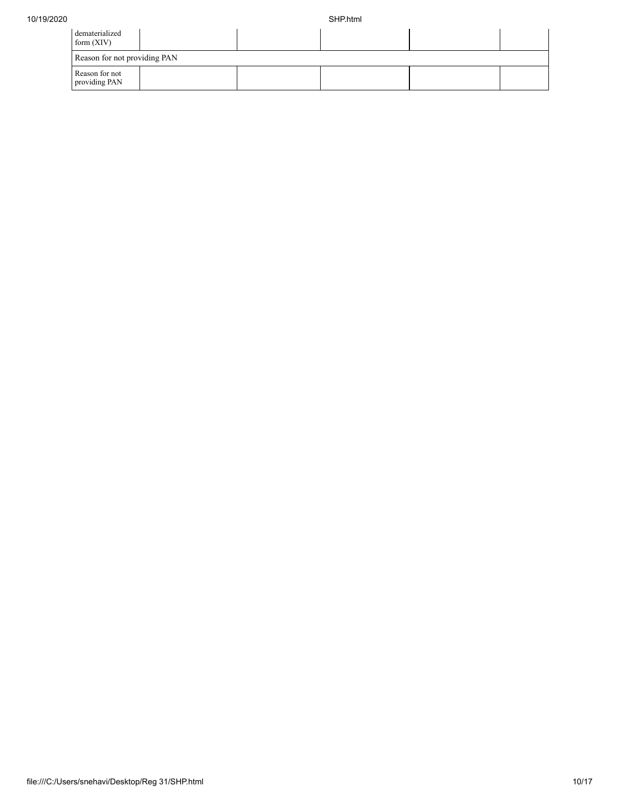| dematerialized<br>form $(XIV)$  |  |  |  |  |  |  |  |  |  |  |
|---------------------------------|--|--|--|--|--|--|--|--|--|--|
| Reason for not providing PAN    |  |  |  |  |  |  |  |  |  |  |
| Reason for not<br>providing PAN |  |  |  |  |  |  |  |  |  |  |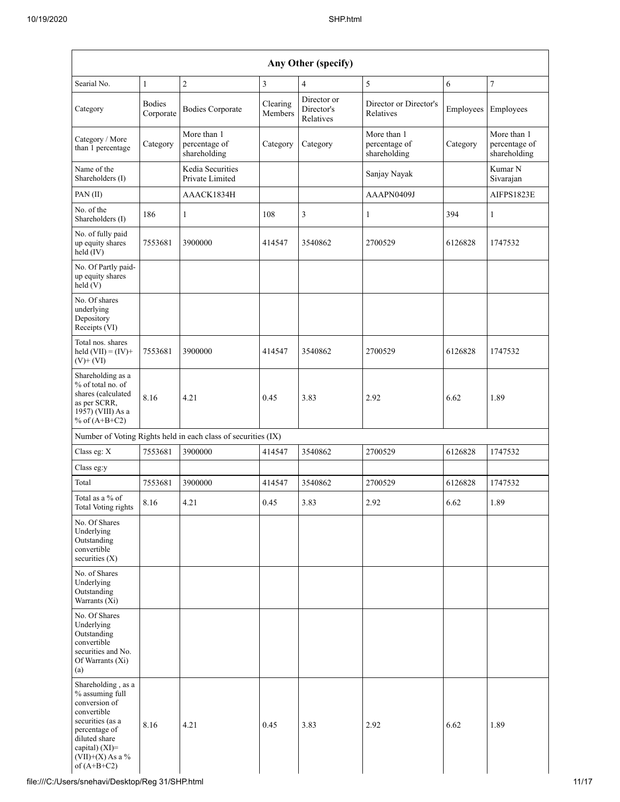|                                                                                                                                                                                      | Any Other (specify)        |                                                               |                     |                                        |                                              |           |                                              |  |  |  |  |  |  |
|--------------------------------------------------------------------------------------------------------------------------------------------------------------------------------------|----------------------------|---------------------------------------------------------------|---------------------|----------------------------------------|----------------------------------------------|-----------|----------------------------------------------|--|--|--|--|--|--|
| Searial No.                                                                                                                                                                          | $\mathbf{1}$               | $\overline{c}$                                                | 3                   | $\overline{4}$                         | 5                                            | 6         | 7                                            |  |  |  |  |  |  |
| Category                                                                                                                                                                             | <b>Bodies</b><br>Corporate | <b>Bodies Corporate</b>                                       | Clearing<br>Members | Director or<br>Director's<br>Relatives | Director or Director's<br>Relatives          | Employees | Employees                                    |  |  |  |  |  |  |
| Category / More<br>than 1 percentage                                                                                                                                                 | Category                   | More than 1<br>percentage of<br>shareholding                  | Category            | Category                               | More than 1<br>percentage of<br>shareholding | Category  | More than 1<br>percentage of<br>shareholding |  |  |  |  |  |  |
| Name of the<br>Shareholders (I)                                                                                                                                                      |                            | Kedia Securities<br>Private Limited                           |                     |                                        | Sanjay Nayak                                 |           | Kumar N<br>Sivarajan                         |  |  |  |  |  |  |
| PAN (II)                                                                                                                                                                             |                            | AAACK1834H                                                    |                     |                                        | AAAPN0409J                                   |           | AIFPS1823E                                   |  |  |  |  |  |  |
| No. of the<br>Shareholders (I)                                                                                                                                                       | 186                        | $\mathbf{1}$                                                  | 108                 | 3                                      | 1                                            | 394       | 1                                            |  |  |  |  |  |  |
| No. of fully paid<br>up equity shares<br>held (IV)                                                                                                                                   | 7553681                    | 3900000                                                       | 414547              | 3540862                                | 2700529                                      | 6126828   | 1747532                                      |  |  |  |  |  |  |
| No. Of Partly paid-<br>up equity shares<br>held(V)                                                                                                                                   |                            |                                                               |                     |                                        |                                              |           |                                              |  |  |  |  |  |  |
| No. Of shares<br>underlying<br>Depository<br>Receipts (VI)                                                                                                                           |                            |                                                               |                     |                                        |                                              |           |                                              |  |  |  |  |  |  |
| Total nos. shares<br>held $(VII) = (IV) +$<br>$(V)$ + $(VI)$                                                                                                                         | 7553681                    | 3900000                                                       | 414547              | 3540862                                | 2700529                                      | 6126828   | 1747532                                      |  |  |  |  |  |  |
| Shareholding as a<br>% of total no. of<br>shares (calculated<br>as per SCRR,<br>1957) (VIII) As a<br>% of $(A+B+C2)$                                                                 | 8.16                       | 4.21                                                          | 0.45                | 3.83                                   | 2.92                                         | 6.62      | 1.89                                         |  |  |  |  |  |  |
|                                                                                                                                                                                      |                            | Number of Voting Rights held in each class of securities (IX) |                     |                                        |                                              |           |                                              |  |  |  |  |  |  |
| Class eg: X                                                                                                                                                                          | 7553681                    | 3900000                                                       | 414547              | 3540862                                | 2700529                                      | 6126828   | 1747532                                      |  |  |  |  |  |  |
| Class eg:y                                                                                                                                                                           |                            |                                                               |                     |                                        |                                              |           |                                              |  |  |  |  |  |  |
| Total                                                                                                                                                                                | 7553681                    | 3900000                                                       | 414547              | 3540862                                | 2700529                                      | 6126828   | 1747532                                      |  |  |  |  |  |  |
| Total as a % of<br>Total Voting rights                                                                                                                                               | 8.16                       | 4.21                                                          | 0.45                | 3.83                                   | 2.92                                         | 6.62      | 1.89                                         |  |  |  |  |  |  |
| No. Of Shares<br>Underlying<br>Outstanding<br>convertible<br>securities $(X)$                                                                                                        |                            |                                                               |                     |                                        |                                              |           |                                              |  |  |  |  |  |  |
| No. of Shares<br>Underlying<br>Outstanding<br>Warrants (Xi)                                                                                                                          |                            |                                                               |                     |                                        |                                              |           |                                              |  |  |  |  |  |  |
| No. Of Shares<br>Underlying<br>Outstanding<br>convertible<br>securities and No.<br>Of Warrants (Xi)<br>(a)                                                                           |                            |                                                               |                     |                                        |                                              |           |                                              |  |  |  |  |  |  |
| Shareholding, as a<br>% assuming full<br>conversion of<br>convertible<br>securities (as a<br>percentage of<br>diluted share<br>capital) (XI)=<br>$(VII)+(X)$ As a %<br>of $(A+B+C2)$ | 8.16                       | 4.21                                                          | 0.45                | 3.83                                   | 2.92                                         | 6.62      | 1.89                                         |  |  |  |  |  |  |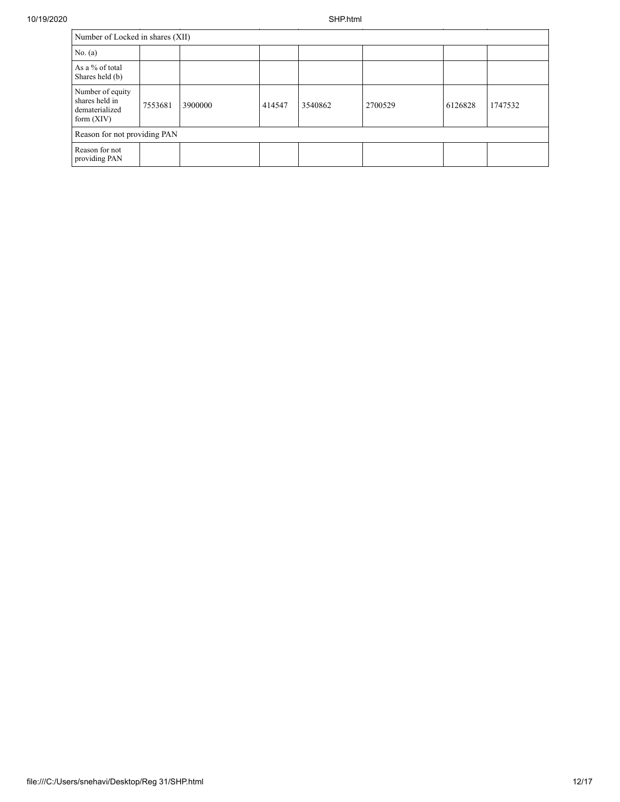|                                                                      | Number of Locked in shares (XII) |         |        |         |         |         |         |  |  |  |  |
|----------------------------------------------------------------------|----------------------------------|---------|--------|---------|---------|---------|---------|--|--|--|--|
| No. (a)                                                              |                                  |         |        |         |         |         |         |  |  |  |  |
| As a % of total<br>Shares held (b)                                   |                                  |         |        |         |         |         |         |  |  |  |  |
| Number of equity<br>shares held in<br>dematerialized<br>form $(XIV)$ | 7553681                          | 3900000 | 414547 | 3540862 | 2700529 | 6126828 | 1747532 |  |  |  |  |
| Reason for not providing PAN                                         |                                  |         |        |         |         |         |         |  |  |  |  |
| Reason for not<br>providing PAN                                      |                                  |         |        |         |         |         |         |  |  |  |  |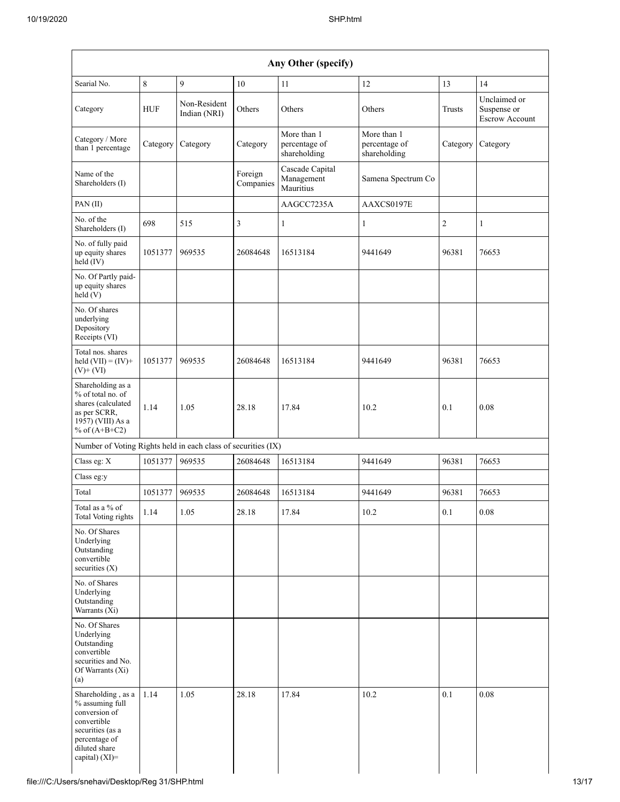|                                                                                                                                               |            |                              |                      | Any Other (specify)                          |                                              |                |                                                      |
|-----------------------------------------------------------------------------------------------------------------------------------------------|------------|------------------------------|----------------------|----------------------------------------------|----------------------------------------------|----------------|------------------------------------------------------|
| Searial No.                                                                                                                                   | 8          | 9                            | 10                   | 11                                           | 12                                           | 13             | 14                                                   |
| Category                                                                                                                                      | <b>HUF</b> | Non-Resident<br>Indian (NRI) | Others               | Others                                       | Others                                       | Trusts         | Unclaimed or<br>Suspense or<br><b>Escrow Account</b> |
| Category / More<br>than 1 percentage                                                                                                          | Category   | Category                     | Category             | More than 1<br>percentage of<br>shareholding | More than 1<br>percentage of<br>shareholding | Category       | Category                                             |
| Name of the<br>Shareholders (I)                                                                                                               |            |                              | Foreign<br>Companies | Cascade Capital<br>Management<br>Mauritius   | Samena Spectrum Co                           |                |                                                      |
| PAN(II)                                                                                                                                       |            |                              |                      | AAGCC7235A                                   | AAXCS0197E                                   |                |                                                      |
| No. of the<br>Shareholders (I)                                                                                                                | 698        | 515                          | 3                    | $\mathbf{1}$                                 | $\mathbf{1}$                                 | $\overline{2}$ | 1                                                    |
| No. of fully paid<br>up equity shares<br>held (IV)                                                                                            | 1051377    | 969535                       | 26084648             | 16513184                                     | 9441649                                      | 96381          | 76653                                                |
| No. Of Partly paid-<br>up equity shares<br>held (V)                                                                                           |            |                              |                      |                                              |                                              |                |                                                      |
| No. Of shares<br>underlying<br>Depository<br>Receipts (VI)                                                                                    |            |                              |                      |                                              |                                              |                |                                                      |
| Total nos. shares<br>held $(VII) = (IV) +$<br>$(V)$ + $(VI)$                                                                                  | 1051377    | 969535                       | 26084648             | 16513184                                     | 9441649                                      | 96381          | 76653                                                |
| Shareholding as a<br>% of total no. of<br>shares (calculated<br>as per SCRR,<br>1957) (VIII) As a<br>% of $(A+B+C2)$                          | 1.14       | 1.05                         | 28.18                | 17.84                                        | 10.2                                         | 0.1            | 0.08                                                 |
| Number of Voting Rights held in each class of securities (IX)                                                                                 |            |                              |                      |                                              |                                              |                |                                                      |
| Class eg: X                                                                                                                                   | 1051377    | 969535                       | 26084648             | 16513184                                     | 9441649                                      | 96381          | 76653                                                |
| Class eg:y                                                                                                                                    |            |                              |                      |                                              |                                              |                |                                                      |
| Total                                                                                                                                         | 1051377    | 969535                       | 26084648             | 16513184                                     | 9441649                                      | 96381          | 76653                                                |
| Total as a % of<br><b>Total Voting rights</b>                                                                                                 | 1.14       | 1.05                         | 28.18                | 17.84                                        | 10.2                                         | 0.1            | 0.08                                                 |
| No. Of Shares<br>Underlying<br>Outstanding<br>convertible<br>securities (X)                                                                   |            |                              |                      |                                              |                                              |                |                                                      |
| No. of Shares<br>Underlying<br>Outstanding<br>Warrants (Xi)                                                                                   |            |                              |                      |                                              |                                              |                |                                                      |
| No. Of Shares<br>Underlying<br>Outstanding<br>convertible<br>securities and No.<br>Of Warrants (Xi)<br>(a)                                    |            |                              |                      |                                              |                                              |                |                                                      |
| Shareholding, as a<br>% assuming full<br>conversion of<br>convertible<br>securities (as a<br>percentage of<br>diluted share<br>capital) (XI)= | 1.14       | 1.05                         | 28.18                | 17.84                                        | 10.2                                         | 0.1            | 0.08                                                 |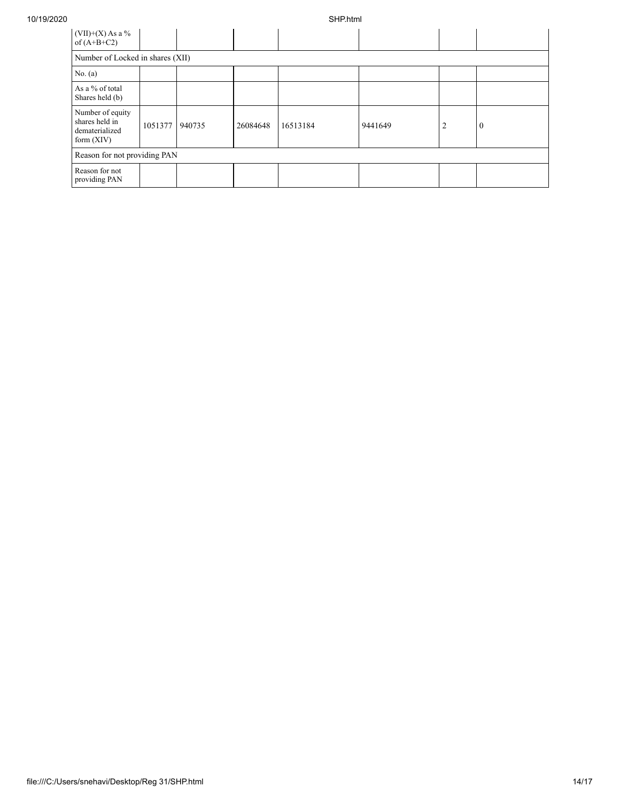| $(VII)+(X)$ As a %<br>of $(A+B+C2)$                                  |         |        |          |          |         |   |          |
|----------------------------------------------------------------------|---------|--------|----------|----------|---------|---|----------|
| Number of Locked in shares (XII)                                     |         |        |          |          |         |   |          |
| No. (a)                                                              |         |        |          |          |         |   |          |
| As a % of total<br>Shares held (b)                                   |         |        |          |          |         |   |          |
| Number of equity<br>shares held in<br>dematerialized<br>form $(XIV)$ | 1051377 | 940735 | 26084648 | 16513184 | 9441649 | 2 | $\theta$ |
| Reason for not providing PAN                                         |         |        |          |          |         |   |          |
| Reason for not<br>providing PAN                                      |         |        |          |          |         |   |          |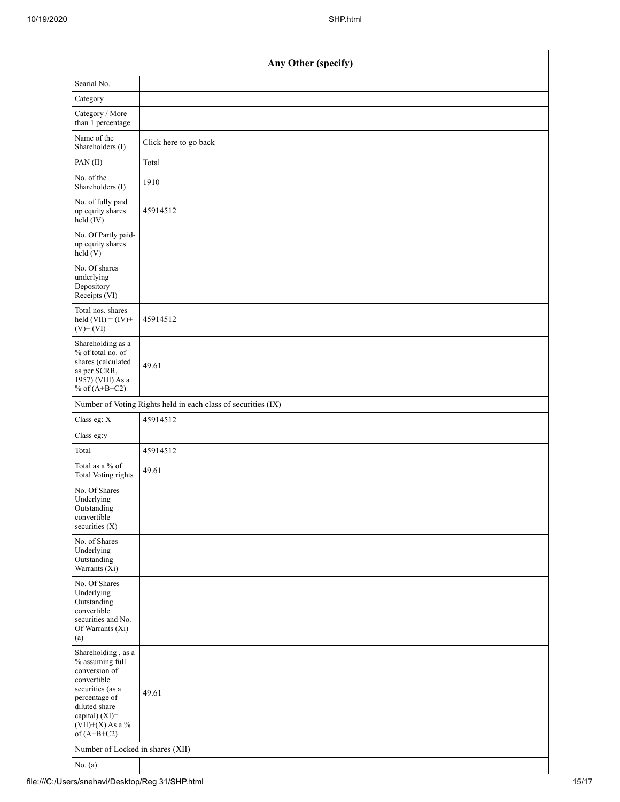| Any Other (specify)                                                                                                                                                                  |                                                               |  |  |  |  |  |
|--------------------------------------------------------------------------------------------------------------------------------------------------------------------------------------|---------------------------------------------------------------|--|--|--|--|--|
| Searial No.                                                                                                                                                                          |                                                               |  |  |  |  |  |
| Category                                                                                                                                                                             |                                                               |  |  |  |  |  |
| Category / More<br>than 1 percentage                                                                                                                                                 |                                                               |  |  |  |  |  |
| Name of the<br>Shareholders (I)                                                                                                                                                      | Click here to go back                                         |  |  |  |  |  |
| PAN(II)                                                                                                                                                                              | Total                                                         |  |  |  |  |  |
| No. of the<br>Shareholders (I)                                                                                                                                                       | 1910                                                          |  |  |  |  |  |
| No. of fully paid<br>up equity shares<br>$held$ (IV)                                                                                                                                 | 45914512                                                      |  |  |  |  |  |
| No. Of Partly paid-<br>up equity shares<br>held(V)                                                                                                                                   |                                                               |  |  |  |  |  |
| No. Of shares<br>underlying<br>Depository<br>Receipts (VI)                                                                                                                           |                                                               |  |  |  |  |  |
| Total nos. shares<br>held $(VII) = (IV) +$<br>$(V)$ + $(VI)$                                                                                                                         | 45914512                                                      |  |  |  |  |  |
| Shareholding as a<br>% of total no. of<br>shares (calculated<br>as per SCRR,<br>1957) (VIII) As a<br>% of $(A+B+C2)$                                                                 | 49.61                                                         |  |  |  |  |  |
|                                                                                                                                                                                      | Number of Voting Rights held in each class of securities (IX) |  |  |  |  |  |
| Class eg: X                                                                                                                                                                          | 45914512                                                      |  |  |  |  |  |
| Class eg:y                                                                                                                                                                           |                                                               |  |  |  |  |  |
| Total                                                                                                                                                                                | 45914512                                                      |  |  |  |  |  |
| Total as a % of<br>Total Voting rights                                                                                                                                               | 49.61                                                         |  |  |  |  |  |
| No. Of Shares<br>Underlying<br>Outstanding<br>convertible<br>securities $(X)$                                                                                                        |                                                               |  |  |  |  |  |
| No. of Shares<br>Underlying<br>Outstanding<br>Warrants $(X_i)$                                                                                                                       |                                                               |  |  |  |  |  |
| No. Of Shares<br>Underlying<br>Outstanding<br>convertible<br>securities and No.<br>Of Warrants (Xi)<br>(a)                                                                           |                                                               |  |  |  |  |  |
| Shareholding, as a<br>% assuming full<br>conversion of<br>convertible<br>securities (as a<br>percentage of<br>diluted share<br>capital) (XI)=<br>$(VII)+(X)$ As a %<br>of $(A+B+C2)$ | 49.61                                                         |  |  |  |  |  |
| Number of Locked in shares (XII)                                                                                                                                                     |                                                               |  |  |  |  |  |
| No. $(a)$                                                                                                                                                                            |                                                               |  |  |  |  |  |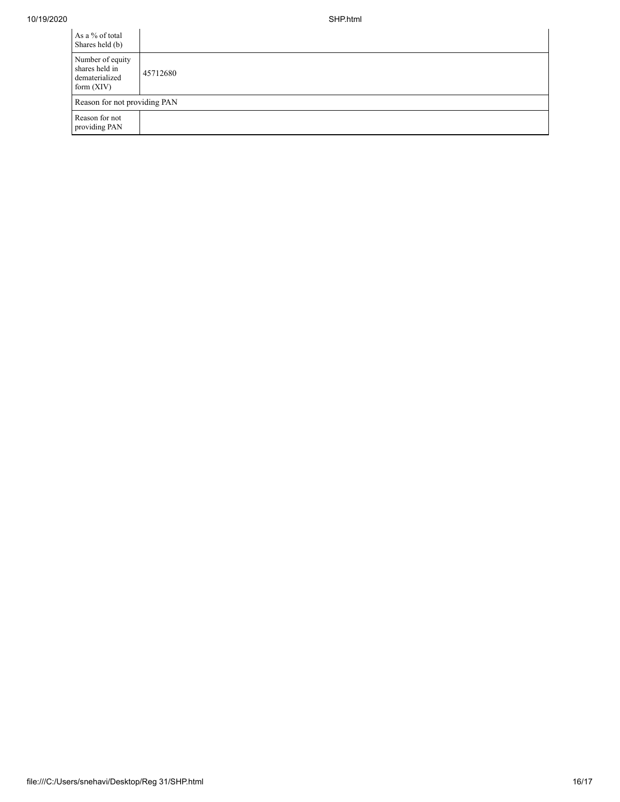| As a % of total<br>Shares held (b)                                   |          |
|----------------------------------------------------------------------|----------|
| Number of equity<br>shares held in<br>dematerialized<br>form $(XIV)$ | 45712680 |
| Reason for not providing PAN                                         |          |
| Reason for not<br>providing PAN                                      |          |